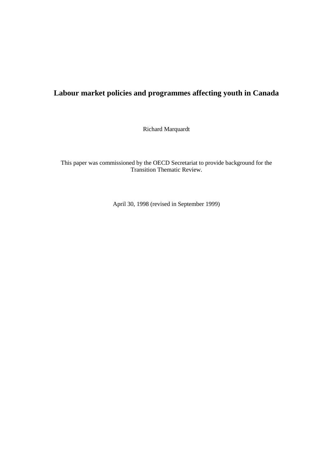# **Labour market policies and programmes affecting youth in Canada**

Richard Marquardt

This paper was commissioned by the OECD Secretariat to provide background for the Transition Thematic Review.

April 30, 1998 (revised in September 1999)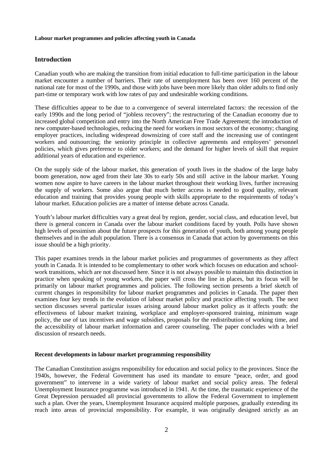# **Introduction**

Canadian youth who are making the transition from initial education to full-time participation in the labour market encounter a number of barriers. Their rate of unemployment has been over 160 percent of the national rate for most of the 1990s, and those with jobs have been more likely than older adults to find only part-time or temporary work with low rates of pay and undesirable working conditions.

These difficulties appear to be due to a convergence of several interrelated factors: the recession of the early 1990s and the long period of "jobless recovery"; the restructuring of the Canadian economy due to increased global competition and entry into the North American Free Trade Agreement; the introduction of new computer-based technologies, reducing the need for workers in most sectors of the economy; changing employer practices, including widespread downsizing of core staff and the increasing use of contingent workers and outsourcing; the seniority principle in collective agreements and employers' personnel policies, which gives preference to older workers; and the demand for higher levels of skill that require additional years of education and experience.

On the supply side of the labour market, this generation of youth lives in the shadow of the large baby boom generation, now aged from their late 30s to early 50s and still active in the labour market. Young women now aspire to have careers in the labour market throughout their working lives, further increasing the supply of workers. Some also argue that much better access is needed to good quality, relevant education and training that provides young people with skills appropriate to the requirements of today's labour market. Education policies are a matter of intense debate across Canada.

Youth's labour market difficulties vary a great deal by region, gender, social class, and education level, but there is general concern in Canada over the labour market conditions faced by youth. Polls have shown high levels of pessimism about the future prospects for this generation of youth, both among young people themselves and in the adult population. There is a consensus in Canada that action by governments on this issue should be a high priority.

This paper examines trends in the labour market policies and programmes of governments as they affect youth in Canada. It is intended to be complementary to other work which focuses on education and schoolwork transitions, which are not discussed here. Since it is not always possible to maintain this distinction in practice when speaking of young workers, the paper will cross the line in places, but its focus will be primarily on labour market programmes and policies. The following section presents a brief sketch of current changes in responsibility for labour market programmes and policies in Canada. The paper then examines four key trends in the evolution of labour market policy and practice affecting youth. The next section discusses several particular issues arising around labour market policy as it affects youth: the effectiveness of labour market training, workplace and employer-sponsored training, minimum wage policy, the use of tax incentives and wage subsidies, proposals for the redistribution of working time, and the accessibility of labour market information and career counseling. The paper concludes with a brief discussion of research needs.

## **Recent developments in labour market programming responsibility**

The Canadian Constitution assigns responsibility for education and social policy to the provinces. Since the 1940s, however, the Federal Government has used its mandate to ensure "peace, order, and good government" to intervene in a wide variety of labour market and social policy areas. The federal Unemployment Insurance programme was introduced in 1941. At the time, the traumatic experience of the Great Depression persuaded all provincial governments to allow the Federal Government to implement such a plan. Over the years, Unemployment Insurance acquired multiple purposes, gradually extending its reach into areas of provincial responsibility. For example, it was originally designed strictly as an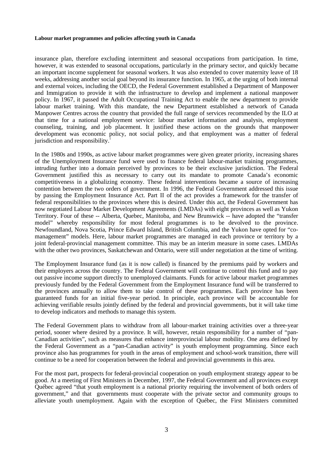insurance plan, therefore excluding intermittent and seasonal occupations from participation. In time, however, it was extended to seasonal occupations, particularly in the primary sector, and quickly became an important income supplement for seasonal workers. It was also extended to cover maternity leave of 18 weeks, addressing another social goal beyond its insurance function. In 1965, at the urging of both internal and external voices, including the OECD, the Federal Government established a Department of Manpower and Immigration to provide it with the infrastructure to develop and implement a national manpower policy. In 1967, it passed the Adult Occupational Training Act to enable the new department to provide labour market training. With this mandate, the new Department established a network of Canada Manpower Centres across the country that provided the full range of services recommended by the ILO at that time for a national employment service: labour market information and analysis, employment counseling, training, and job placement. It justified these actions on the grounds that manpower development was economic policy, not social policy, and that employment was a matter of federal jurisdiction and responsibility.<sup>1</sup>

In the 1980s and 1990s, as active labour market programmes were given greater priority, increasing shares of the Unemployment Insurance fund were used to finance federal labour-market training programmes, intruding further into a domain perceived by provinces to be their exclusive jurisdiction. The Federal Government justified this as necessary to carry out its mandate to promote Canada's economic competitiveness in a globalizing economy. These federal interventions became a source of increasing contention between the two orders of government. In 1996, the Federal Government addressed this issue by passing the Employment Insurance Act. Part II of the act provides a framework for the transfer of federal responsibilities to the provinces where this is desired. Under this act, the Federal Government has now negotiated Labour Market Development Agreements (LMDAs) with eight provinces as well as Yukon Territory. Four of these -- Alberta, Quebec, Manitoba, and New Brunswick -- have adopted the "transfer model" whereby responsibility for most federal programmes is to be devolved to the province. Newfoundland, Nova Scotia, Prince Edward Island, British Columbia, and the Yukon have opted for "comanagement" models. Here, labour market programmes are managed in each province or territory by a joint federal-provincial management committee. This may be an interim measure in some cases. LMDAs with the other two provinces, Saskatchewan and Ontario, were still under negotiation at the time of writing.

The Employment Insurance fund (as it is now called) is financed by the premiums paid by workers and their employers across the country. The Federal Government will continue to control this fund and to pay out passive income support directly to unemployed claimants. Funds for active labour market programmes previously funded by the Federal Government from the Employment Insurance fund will be transferred to the provinces annually to allow them to take control of these programmes. Each province has been guaranteed funds for an initial five-year period. In principle, each province will be accountable for achieving verifiable results jointly defined by the federal and provincial governments, but it will take time to develop indicators and methods to manage this system.

The Federal Government plans to withdraw from all labour-market training activities over a three-year period, sooner where desired by a province. It will, however, retain responsibility for a number of "pan-Canadian activities", such as measures that enhance interprovincial labour mobility. One area defined by the Federal Government as a "pan-Canadian activity" is youth employment programming. Since each province also has programmes for youth in the areas of employment and school-work transition, there will continue to be a need for cooperation between the federal and provincial governments in this area.

For the most part, prospects for federal-provincial cooperation on youth employment strategy appear to be good. At a meeting of First Ministers in December, 1997, the Federal Government and all provinces except Québec agreed "that youth employment is a national priority requiring the involvement of both orders of government," and that governments must cooperate with the private sector and community groups to alleviate youth unemployment. Again with the exception of Québec, the First Ministers committed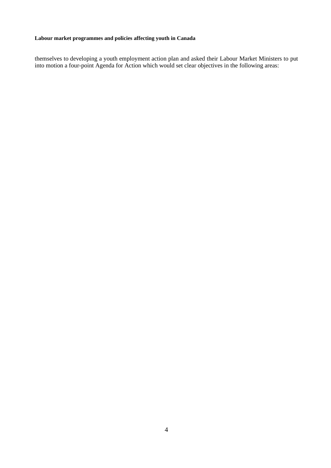themselves to developing a youth employment action plan and asked their Labour Market Ministers to put into motion a four-point Agenda for Action which would set clear objectives in the following areas: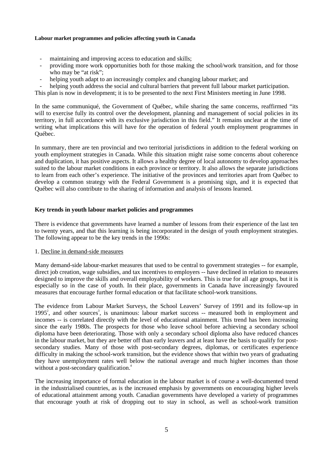- maintaining and improving access to education and skills;
- providing more work opportunities both for those making the school/work transition, and for those who may be "at risk";
- helping youth adapt to an increasingly complex and changing labour market; and

helping youth address the social and cultural barriers that prevent full labour market participation.

This plan is now in development; it is to be presented to the next First Ministers meeting in June 1998.

In the same communiqué, the Government of Québec, while sharing the same concerns, reaffirmed "its will to exercise fully its control over the development, planning and management of social policies in its territory, in full accordance with its exclusive jurisdiction in this field." It remains unclear at the time of writing what implications this will have for the operation of federal youth employment programmes in Québec.

In summary, there are ten provincial and two territorial jurisdictions in addition to the federal working on youth employment strategies in Canada. While this situation might raise some concerns about coherence and duplication, it has positive aspects. It allows a healthy degree of local autonomy to develop approaches suited to the labour market conditions in each province or territory. It also allows the separate jurisdictions to learn from each other's experience. The initiative of the provinces and territories apart from Québec to develop a common strategy with the Federal Government is a promising sign, and it is expected that Québec will also contribute to the sharing of information and analysis of lessons learned.

# **Key trends in youth labour market policies and programmes**

There is evidence that governments have learned a number of lessons from their experience of the last ten to twenty years, and that this learning is being incorporated in the design of youth employment strategies. The following appear to be the key trends in the 1990s:

## 1. Decline in demand-side measures

Many demand-side labour-market measures that used to be central to government strategies -- for example, direct job creation, wage subsidies, and tax incentives to employers -- have declined in relation to measures designed to improve the skills and overall employability of workers. This is true for all age groups, but it is especially so in the case of youth. In their place, governments in Canada have increasingly favoured measures that encourage further formal education or that facilitate school-work transitions.

The evidence from Labour Market Surveys, the School Leavers' Survey of 1991 and its follow-up in 1995<sup>2</sup>, and other sources<sup>3</sup>, is unanimous: labour market success -- measured both in employment and incomes -- is correlated directly with the level of educational attainment. This trend has been increasing since the early 1980s. The prospects for those who leave school before achieving a secondary school diploma have been deteriorating. Those with only a secondary school diploma also have reduced chances in the labour market, but they are better off than early leavers and at least have the basis to qualify for postsecondary studies. Many of those with post-secondary degrees, diplomas, or certificates experience difficulty in making the school-work transition, but the evidence shows that within two years of graduating they have unemployment rates well below the national average and much higher incomes than those without a post-secondary qualification.<sup>4</sup>

The increasing importance of formal education in the labour market is of course a well-documented trend in the industrialised countries, as is the increased emphasis by governments on encouraging higher levels of educational attainment among youth. Canadian governments have developed a variety of programmes that encourage youth at risk of dropping out to stay in school, as well as school-work transition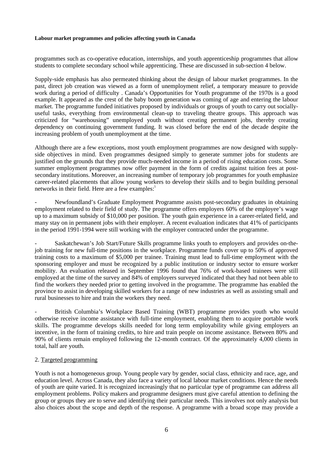programmes such as co-operative education, internships, and youth apprenticeship programmes that allow students to complete secondary school while apprenticing. These are discussed in sub-section 4 below.

Supply-side emphasis has also permeated thinking about the design of labour market programmes. In the past, direct job creation was viewed as a form of unemployment relief, a temporary measure to provide work during a period of difficulty . Canada's Opportunities for Youth programme of the 1970s is a good example. It appeared as the crest of the baby boom generation was coming of age and entering the labour market. The programme funded initiatives proposed by individuals or groups of youth to carry out sociallyuseful tasks, everything from environmental clean-up to traveling theatre groups. This approach was criticized for "warehousing" unemployed youth without creating permanent jobs, thereby creating dependency on continuing government funding. It was closed before the end of the decade despite the increasing problem of youth unemployment at the time.

Although there are a few exceptions, most youth employment programmes are now designed with supplyside objectives in mind. Even programmes designed simply to generate summer jobs for students are justified on the grounds that they provide much-needed income in a period of rising education costs. Some summer employment programmes now offer payment in the form of credits against tuition fees at postsecondary institutions. Moreover, an increasing number of temporary job programmes for youth emphasize career-related placements that allow young workers to develop their skills and to begin building personal networks in their field. Here are a few examples:<sup>5</sup>

- Newfoundland's Graduate Employment Programme assists post-secondary graduates in obtaining employment related to their field of study. The programme offers employers 60% of the employee's wage up to a maximum subsidy of \$10,000 per position. The youth gain experience in a career-related field, and many stay on in permanent jobs with their employer. A recent evaluation indicates that 41% of participants in the period 1991-1994 were still working with the employer contracted under the programme.

- Saskatchewan's Job Start/Future Skills programme links youth to employers and provides on-thejob training for new full-time positions in the workplace. Programme funds cover up to 50% of approved training costs to a maximum of \$5,000 per trainee. Training must lead to full-time employment with the sponsoring employer and must be recognized by a public institution or industry sector to ensure worker mobility. An evaluation released in September 1996 found that 76% of work-based trainees were still employed at the time of the survey and 84% of employers surveyed indicated that they had not been able to find the workers they needed prior to getting involved in the programme. The programme has enabled the province to assist in developing skilled workers for a range of new industries as well as assisting small and rural businesses to hire and train the workers they need.

British Columbia's Workplace Based Training (WBT) programme provides youth who would otherwise receive income assistance with full-time employment, enabling them to acquire portable work skills. The programme develops skills needed for long term employability while giving employers an incentive, in the form of training credits, to hire and train people on income assistance. Between 80% and 90% of clients remain employed following the 12-month contract. Of the approximately 4,000 clients in total, half are youth.

## 2. Targeted programming

Youth is not a homogeneous group. Young people vary by gender, social class, ethnicity and race, age, and education level. Across Canada, they also face a variety of local labour market conditions. Hence the needs of youth are quite varied. It is recognized increasingly that no particular type of programme can address all employment problems. Policy makers and programme designers must give careful attention to defining the group or groups they are to serve and identifying their particular needs. This involves not only analysis but also choices about the scope and depth of the response. A programme with a broad scope may provide a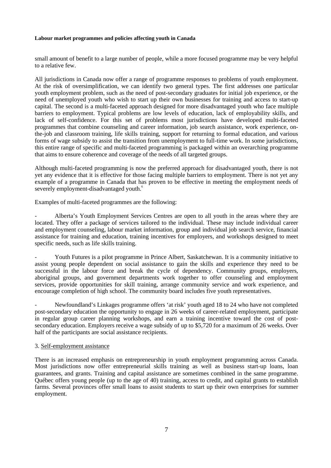small amount of benefit to a large number of people, while a more focused programme may be very helpful to a relative few.

All jurisdictions in Canada now offer a range of programme responses to problems of youth employment. At the risk of oversimplification, we can identify two general types. The first addresses one particular youth employment problem, such as the need of post-secondary graduates for initial job experience, or the need of unemployed youth who wish to start up their own businesses for training and access to start-up capital. The second is a multi-faceted approach designed for more disadvantaged youth who face multiple barriers to employment. Typical problems are low levels of education, lack of employability skills, and lack of self-confidence. For this set of problems most jurisdictions have developed multi-faceted programmes that combine counseling and career information, job search assistance, work experience, onthe-job and classroom training, life skills training, support for returning to formal education, and various forms of wage subsidy to assist the transition from unemployment to full-time work. In some jurisdictions, this entire range of specific and multi-faceted programming is packaged within an overarching programme that aims to ensure coherence and coverage of the needs of all targeted groups.

Although multi-faceted programming is now the preferred approach for disadvantaged youth, there is not yet any evidence that it is effective for those facing multiple barriers to employment. There is not yet any example of a programme in Canada that has proven to be effective in meeting the employment needs of severely employment-disadvantaged youth.<sup>6</sup>

Examples of multi-faceted programmes are the following:

Alberta's Youth Employment Services Centres are open to all youth in the areas where they are located. They offer a package of services tailored to the individual. These may include individual career and employment counseling, labour market information, group and individual job search service, financial assistance for training and education, training incentives for employers, and workshops designed to meet specific needs, such as life skills training.

- Youth Futures is a pilot programme in Prince Albert, Saskatchewan. It is a community initiative to assist young people dependent on social assistance to gain the skills and experience they need to be successful in the labour force and break the cycle of dependency. Community groups, employers, aboriginal groups, and government departments work together to offer counseling and employment services, provide opportunities for skill training, arrange community service and work experience, and encourage completion of high school. The community board includes five youth representatives.

Newfoundland's Linkages programme offers 'at risk' youth aged 18 to 24 who have not completed post-secondary education the opportunity to engage in 26 weeks of career-related employment, participate in regular group career planning workshops, and earn a training incentive toward the cost of postsecondary education. Employers receive a wage subsidy of up to \$5,720 for a maximum of 26 weeks. Over half of the participants are social assistance recipients.

## 3. Self-employment assistance

There is an increased emphasis on entrepreneurship in youth employment programming across Canada. Most jurisdictions now offer entrepreneurial skills training as well as business start-up loans, loan guarantees, and grants. Training and capital assistance are sometimes combined in the same programme. Québec offers young people (up to the age of 40) training, access to credit, and capital grants to establish farms. Several provinces offer small loans to assist students to start up their own enterprises for summer employment.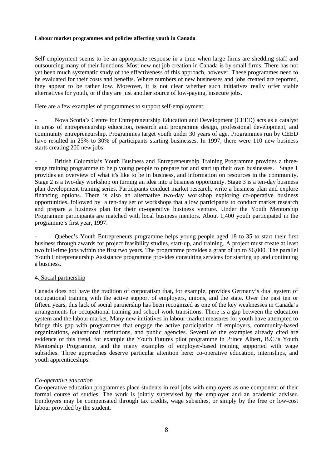Self-employment seems to be an appropriate response in a time when large firms are shedding staff and outsourcing many of their functions. Most new net job creation in Canada is by small firms. There has not yet been much systematic study of the effectiveness of this approach, however. These programmes need to be evaluated for their costs and benefits. Where numbers of new businesses and jobs created are reported, they appear to be rather low. Moreover, it is not clear whether such initiatives really offer viable alternatives for youth, or if they are just another source of low-paying, insecure jobs.

Here are a few examples of programmes to support self-employment:

- Nova Scotia's Centre for Entrepreneurship Education and Development (CEED) acts as a catalyst in areas of entrepreneurship education, research and programme design, professional development, and community entrepreneurship. Programmes target youth under 30 years of age. Programmes run by CEED have resulted in 25% to 30% of participants starting businesses. In 1997, there were 110 new business starts creating 200 new jobs.

British Columbia's Youth Business and Entrepreneurship Training Programme provides a threestage training programme to help young people to prepare for and start up their own businesses. Stage 1 provides an overview of what it's like to be in business, and information on resources in the community. Stage 2 is a two-day workshop on turning an idea into a business opportunity. Stage 3 is a ten-day business plan development training series. Participants conduct market research, write a business plan and explore financing options. There is also an alternative two-day workshop exploring co-operative business opportunities, followed by a ten-day set of workshops that allow participants to conduct market research and prepare a business plan for their co-operative business venture. Under the Youth Mentorship Programme participants are matched with local business mentors. About 1,400 youth participated in the programme's first year, 1997.

- Québec's Youth Entrepreneurs programme helps young people aged 18 to 35 to start their first business through awards for project feasibility studies, start-up, and training. A project must create at least two full-time jobs within the first two years. The programme provides a grant of up to \$6,000. The parallel Youth Entrepreneurship Assistance programme provides consulting services for starting up and continuing a business.

## 4. Social partnership

Canada does not have the tradition of corporatism that, for example, provides Germany's dual system of occupational training with the active support of employers, unions, and the state. Over the past ten or fifteen years, this lack of social partnership has been recognized as one of the key weaknesses in Canada's arrangements for occupational training and school-work transitions. There is a gap between the education system and the labour market. Many new initiatives in labour-market measures for youth have attempted to bridge this gap with programmes that engage the active participation of employers, community-based organizations, educational institutions, and public agencies. Several of the examples already cited are evidence of this trend, for example the Youth Futures pilot programme in Prince Albert, B.C.'s Youth Mentorship Programme, and the many examples of employer-based training supported with wage subsidies. Three approaches deserve particular attention here: co-operative education, internships, and youth apprenticeships.

## *Co-operative education*

Co-operative education programmes place students in real jobs with employers as one component of their formal course of studies. The work is jointly supervised by the employer and an academic adviser. Employers may be compensated through tax credits, wage subsidies, or simply by the free or low-cost labour provided by the student.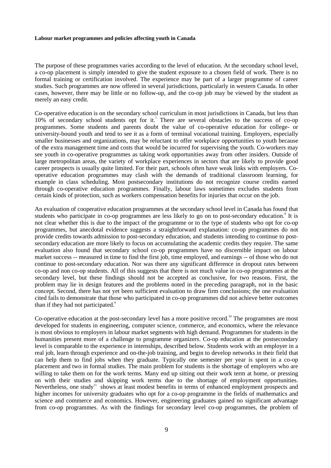The purpose of these programmes varies according to the level of education. At the secondary school level, a co-op placement is simply intended to give the student exposure to a chosen field of work. There is no formal training or certification involved. The experience may be part of a larger programme of career studies. Such programmes are now offered in several jurisdictions, particularly in western Canada. In other cases, however, there may be little or no follow-up, and the co-op job may be viewed by the student as merely an easy credit.

Co-operative education is on the secondary school curriculum in most jurisdictions in Canada, but less than 10% of secondary school students opt for it.<sup>7</sup> There are several obstacles to the success of co-op programmes. Some students and parents doubt the value of co-operative education for college- or university-bound youth and tend to see it as a form of terminal vocational training. Employers, especially smaller businesses and organizations, may be reluctant to offer workplace opportunities to youth because of the extra management time and costs that would be incurred for supervising the youth. Co-workers may see youth in co-operative programmes as taking work opportunities away from other insiders. Outside of large metropolitan areas, the variety of workplace experiences in sectors that are likely to provide good career prospects is usually quite limited. For their part, schools often have weak links with employers. Cooperative education programmes may clash with the demands of traditional classroom learning, for example in class scheduling. Most postsecondary institutions do not recognize course credits earned through co-operative education programmes. Finally, labour laws sometimes excludes students from certain kinds of protection, such as workers compensation benefits for injuries that occur on the job.

An evaluation of cooperative education programmes at the secondary school level in Canada has found that students who participate in co-op programmes are less likely to go on to post-secondary education.<sup>8</sup> It is not clear whether this is due to the impact of the programme or to the type of students who opt for co-op programmes, but anecdotal evidence suggests a straightforward explanation: co-op programmes do not provide credits towards admission to post-secondary education, and students intending to continue to postsecondary education are more likely to focus on accumulating the academic credits they require. The same evaluation also found that secondary school co-op programmes have no discernible impact on labour market success -- measured in time to find the first job, time employed, and earnings -- of those who do not continue to post-secondary education. Nor was there any significant difference in dropout rates between co-op and non co-op students. All of this suggests that there is not much value in co-op programmes at the secondary level, but these findings should not be accepted as conclusive, for two reasons. First, the problem may lie in design features and the problems noted in the preceding paragraph, not in the basic concept. Second, there has not yet been sufficient evaluation to draw firm conclusions; the one evaluation cited fails to demonstrate that those who participated in co-op programmes did not achieve better outcomes than if they had not participated.<sup>9</sup>

Co-operative education at the post-secondary level has a more positive record.<sup>10</sup> The programmes are most developed for students in engineering, computer science, commerce, and economics, where the relevance is most obvious to employers in labour market segments with high demand. Programmes for students in the humanities present more of a challenge to programme organizers. Co-op education at the postsecondary level is comparable to the experience in internships, described below. Students work with an employer in a real job, learn through experience and on-the-job training, and begin to develop networks in their field that can help them to find jobs when they graduate. Typically one semester per year is spent in a co-op placement and two in formal studies. The main problem for students is the shortage of employers who are willing to take them on for the work terms. Many end up sitting out their work term at home, or pressing on with their studies and skipping work terms due to the shortage of employment opportunities. Nevertheless, one study<sup>11</sup> shows at least modest benefits in terms of enhanced employment prospects and higher incomes for university graduates who opt for a co-op programme in the fields of mathematics and science and commerce and economics. However, engineering graduates gained no significant advantage from co-op programmes. As with the findings for secondary level co-op programmes, the problem of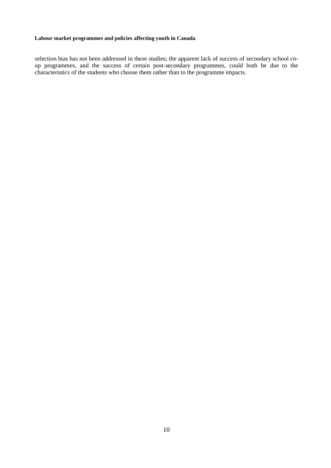selection bias has not been addressed in these studies; the apparent lack of success of secondary school coop programmes, and the success of certain post-secondary programmes, could both be due to the characteristics of the students who choose them rather than to the programme impacts.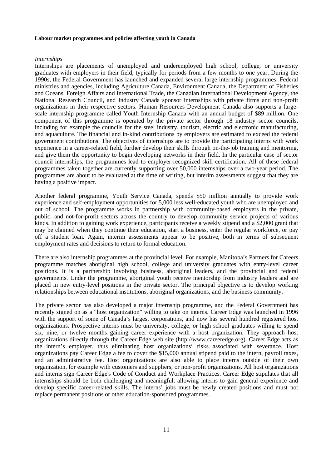## *Internships*

Internships are placements of unemployed and underemployed high school, college, or university graduates with employers in their field, typically for periods from a few months to one year. During the 1990s, the Federal Government has launched and expanded several large internship programmes. Federal ministries and agencies, including Agriculture Canada, Environment Canada, the Department of Fisheries and Oceans, Foreign Affairs and International Trade, the Canadian International Development Agency, the National Research Council, and Industry Canada sponsor internships with private firms and non-profit organizations in their respective sectors. Human Resources Development Canada also supports a largescale internship programme called Youth Internship Canada with an annual budget of \$89 million. One component of this programme is operated by the private sector through 18 industry sector councils, including for example the councils for the steel industry, tourism, electric and electronic manufacturing, and aquaculture. The financial and in-kind contributions by employers are estimated to exceed the federal government contributions. The objectives of internships are to provide the participating interns with work experience in a career-related field, further develop their skills through on-the-job training and mentoring, and give them the opportunity to begin developing networks in their field. In the particular case of sector council internships, the programmes lead to employer-recognized skill certification. All of these federal programmes taken together are currently supporting over 50,000 internships over a two-year period. The programmes are about to be evaluated at the time of writing, but interim assessments suggest that they are having a positive impact.

Another federal programme, Youth Service Canada, spends \$50 million annually to provide work experience and self-employment opportunities for 5,000 less well-educated youth who are unemployed and out of school. The programme works in partnership with community-based employers in the private, public, and not-for-profit sectors across the country to develop community service projects of various kinds. In addition to gaining work experience, participants receive a weekly stipend and a \$2,000 grant that may be claimed when they continue their education, start a business, enter the regular workforce, or pay off a student loan. Again, interim assessments appear to be positive, both in terms of subsequent employment rates and decisions to return to formal education.

There are also internship programmes at the provincial level. For example, Manitoba's Partners for Careers programme matches aboriginal high school, college and university graduates with entry-level career positions. It is a partnership involving business, aboriginal leaders, and the provincial and federal governments. Under the programme, aboriginal youth receive mentorship from industry leaders and are placed in new entry-level positions in the private sector. The principal objective is to develop working relationships between educational institutions, aboriginal organizations, and the business community.

The private sector has also developed a major internship programme, and the Federal Government has recently signed on as a "host organization" willing to take on interns. Career Edge was launched in 1996 with the support of some of Canada's largest corporations, and now has several hundred registered host organizations. Prospective interns must be university, college, or high school graduates willing to spend six, nine, or twelve months gaining career experience with a host organization. They approach host organizations directly through the Career Edge web site (http://www.careeredge.org). Career Edge acts as the intern's employer, thus eliminating host organizations' risks associated with severance. Host organizations pay Career Edge a fee to cover the \$15,000 annual stipend paid to the intern, payroll taxes, and an administrative fee. Host organizations are also able to place interns outside of their own organization, for example with customers and suppliers, or non-profit organizations. All host organizations and interns sign Career Edge's Code of Conduct and Workplace Practices. Career Edge stipulates that all internships should be both challenging and meaningful, allowing interns to gain general experience and develop specific career-related skills. The interns' jobs must be newly created positions and must not replace permanent positions or other education-sponsored programmes.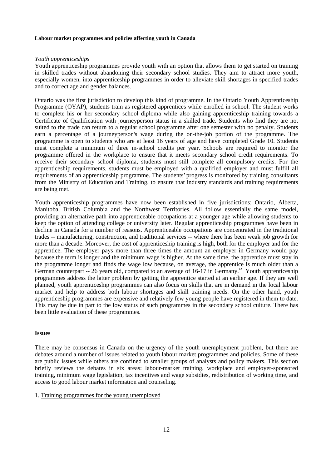# *Youth apprenticeships*

Youth apprenticeship programmes provide youth with an option that allows them to get started on training in skilled trades without abandoning their secondary school studies. They aim to attract more youth, especially women, into apprenticeship programmes in order to alleviate skill shortages in specified trades and to correct age and gender balances.

Ontario was the first jurisdiction to develop this kind of programme. In the Ontario Youth Apprenticeship Programme (OYAP), students train as registered apprentices while enrolled in school. The student works to complete his or her secondary school diploma while also gaining apprenticeship training towards a Certificate of Qualification with journeyperson status in a skilled trade. Students who find they are not suited to the trade can return to a regular school programme after one semester with no penalty. Students earn a percentage of a journeyperson's wage during the on-the-job portion of the programme. The programme is open to students who are at least 16 years of age and have completed Grade 10. Students must complete a minimum of three in-school credits per year. Schools are required to monitor the programme offered in the workplace to ensure that it meets secondary school credit requirements. To receive their secondary school diploma, students must still complete all compulsory credits. For the apprenticeship requirements, students must be employed with a qualified employer and must fulfill all requirements of an apprenticeship programme. The students' progress is monitored by training consultants from the Ministry of Education and Training, to ensure that industry standards and training requirements are being met.

Youth apprenticeship programmes have now been established in five jurisdictions: Ontario, Alberta, Manitoba, British Columbia and the Northwest Territories. All follow essentially the same model, providing an alternative path into apprenticeable occupations at a younger age while allowing students to keep the option of attending college or university later. Regular apprenticeship programmes have been in decline in Canada for a number of reasons. Apprenticeable occupations are concentrated in the traditional trades -- manufacturing, construction, and traditional services -- where there has been weak job growth for more than a decade. Moreover, the cost of apprenticeship training is high, both for the employer and for the apprentice. The employer pays more than three times the amount an employer in Germany would pay because the term is longer and the minimum wage is higher. At the same time, the apprentice must stay in the programme longer and finds the wage low because, on average, the apprentice is much older than a German counterpart -- 26 years old, compared to an average of  $16-17$  in Germany.<sup>12</sup> Youth apprenticeship programmes address the latter problem by getting the apprentice started at an earlier age. If they are well planned, youth apprenticeship programmes can also focus on skills that are in demand in the local labour market and help to address both labour shortages and skill training needs. On the other hand, youth apprenticeship programmes are expensive and relatively few young people have registered in them to date. This may be due in part to the low status of such programmes in the secondary school culture. There has been little evaluation of these programmes.

# **Issues**

There may be consensus in Canada on the urgency of the youth unemployment problem, but there are debates around a number of issues related to youth labour market programmes and policies. Some of these are public issues while others are confined to smaller groups of analysts and policy makers. This section briefly reviews the debates in six areas: labour-market training, workplace and employer-sponsored training, minimum wage legislation, tax incentives and wage subsidies, redistribution of working time, and access to good labour market information and counseling.

## 1. Training programmes for the young unemployed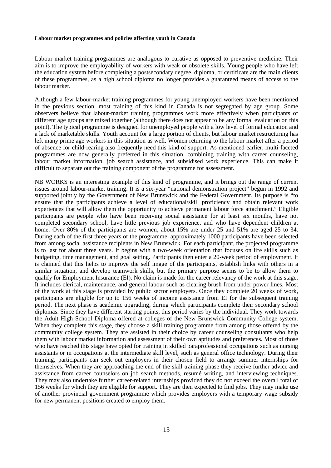Labour-market training programmes are analogous to curative as opposed to preventive medicine. Their aim is to improve the employability of workers with weak or obsolete skills. Young people who have left the education system before completing a postsecondary degree, diploma, or certificate are the main clients of these programmes, as a high school diploma no longer provides a guaranteed means of access to the labour market.

Although a few labour-market training programmes for young unemployed workers have been mentioned in the previous section, most training of this kind in Canada is not segregated by age group. Some observers believe that labour-market training programmes work more effectively when participants of different age groups are mixed together (although there does not appear to be any formal evaluation on this point). The typical programme is designed for unemployed people with a low level of formal education and a lack of marketable skills. Youth account for a large portion of clients, but labour market restructuring has left many prime age workers in this situation as well. Women returning to the labour market after a period of absence for child-rearing also frequently need this kind of support. As mentioned earlier, multi-faceted programmes are now generally preferred in this situation, combining training with career counseling, labour market information, job search assistance, and subsidised work experience. This can make it difficult to separate out the training component of the programme for assessment.

NB WORKS is an interesting example of this kind of programme, and it brings out the range of current issues around labour-market training. It is a six-year "national demonstration project" begun in 1992 and supported jointly by the Government of New Brunswick and the Federal Government. Its purpose is "to ensure that the participants achieve a level of educational/skill proficiency and obtain relevant work experiences that will allow them the opportunity to achieve permanent labour force attachment." Eligible participants are people who have been receiving social assistance for at least six months, have not completed secondary school, have little previous job experience, and who have dependent children at home. Over 80% of the participants are women; about 15% are under 25 and 51% are aged 25 to 34. During each of the first three years of the programme, approximately 1000 participants have been selected from among social assistance recipients in New Brunswick. For each participant, the projected programme is to last for about three years. It begins with a two-week orientation that focuses on life skills such as budgeting, time management, and goal setting. Participants then enter a 20-week period of employment. It is claimed that this helps to improve the self image of the participants, establish links with others in a similar situation, and develop teamwork skills, but the primary purpose seems to be to allow them to qualify for Employment Insurance (EI). No claim is made for the career relevancy of the work at this stage. It includes clerical, maintenance, and general labour such as clearing brush from under power lines. Most of the work at this stage is provided by public sector employers. Once they complete 20 weeks of work, participants are eligible for up to 156 weeks of income assistance from EI for the subsequent training period. The next phase is academic upgrading, during which participants complete their secondary school diplomas. Since they have different starting points, this period varies by the individual. They work towards the Adult High School Diploma offered at colleges of the New Brunswick Community College system. When they complete this stage, they choose a skill training programme from among those offered by the community college system. They are assisted in their choice by career counseling consultants who help them with labour market information and assessment of their own aptitudes and preferences. Most of those who have reached this stage have opted for training in skilled paraprofessional occupations such as nursing assistants or in occupations at the intermediate skill level, such as general office technology. During their training, participants can seek out employers in their chosen field to arrange summer internships for themselves. When they are approaching the end of the skill training phase they receive further advice and assistance from career counselors on job search methods, resumé writing, and interviewing techniques. They may also undertake further career-related internships provided they do not exceed the overall total of 156 weeks for which they are eligible for support. They are then expected to find jobs. They may make use of another provincial government programme which provides employers with a temporary wage subsidy for new permanent positions created to employ them.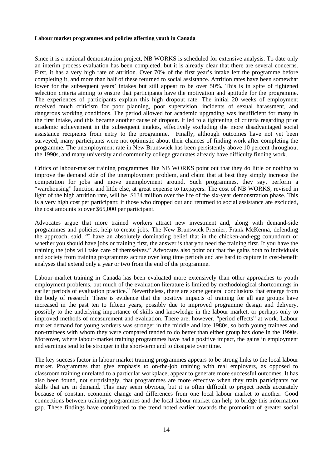Since it is a national demonstration project, NB WORKS is scheduled for extensive analysis. To date only an interim process evaluation has been completed, but it is already clear that there are several concerns. First, it has a very high rate of attrition. Over 70% of the first year's intake left the programme before completing it, and more than half of these returned to social assistance. Attrition rates have been somewhat lower for the subsequent years' intakes but still appear to be over 50%. This is in spite of tightened selection criteria aiming to ensure that participants have the motivation and aptitude for the programme. The experiences of participants explain this high dropout rate. The initial 20 weeks of employment received much criticism for poor planning, poor supervision, incidents of sexual harassment, and dangerous working conditions. The period allowed for academic upgrading was insufficient for many in the first intake, and this became another cause of dropout. It led to a tightening of criteria regarding prior academic achievement in the subsequent intakes, effectively excluding the more disadvantaged social assistance recipients from entry to the programme. Finally, although outcomes have not yet been surveyed, many participants were not optimistic about their chances of finding work after completing the programme. The unemployment rate in New Brunswick has been persistently above 10 percent throughout the 1990s, and many university and community college graduates already have difficulty finding work.

Critics of labour-market training programmes like NB WORKS point out that they do little or nothing to improve the demand side of the unemployment problem, and claim that at best they simply increase the competition for jobs and move unemployment around. Such programmes, they say, perform a "warehousing" function and little else, at great expense to taxpayers. The cost of NB WORKS, revised in light of the high attrition rate, will be \$134 million over the life of the six-year demonstration phase. This is a very high cost per participant; if those who dropped out and returned to social assistance are excluded, the cost amounts to over \$65,000 per participant.

Advocates argue that more trained workers attract new investment and, along with demand-side programmes and policies, help to create jobs. The New Brunswick Premier, Frank McKenna, defending the approach, said, "I have an absolutely dominating belief that in the chicken-and-egg conundrum of whether you should have jobs or training first, the answer is that you need the training first. If you have the training the jobs will take care of themselves." Advocates also point out that the gains both to individuals and society from training programmes accrue over long time periods and are hard to capture in cost-benefit analyses that extend only a year or two from the end of the programme.

Labour-market training in Canada has been evaluated more extensively than other approaches to youth employment problems, but much of the evaluation literature is limited by methodological shortcomings in earlier periods of evaluation practice.<sup>13</sup> Nevertheless, there are some general conclusions that emerge from the body of research. There is evidence that the positive impacts of training for all age groups have increased in the past ten to fifteen years, possibly due to improved programme design and delivery, possibly to the underlying importance of skills and knowledge in the labour market, or perhaps only to improved methods of measurement and evaluation. There are, however, "period effects" at work. Labour market demand for young workers was stronger in the middle and late 1980s, so both young trainees and non-trainees with whom they were compared tended to do better than either group has done in the 1990s. Moreover, where labour-market training programmes have had a positive impact, the gains in employment and earnings tend to be stronger in the short-term and to dissipate over time.

The key success factor in labour market training programmes appears to be strong links to the local labour market. Programmes that give emphasis to on-the-job training with real employers, as opposed to classroom training unrelated to a particular workplace, appear to generate more successful outcomes. It has also been found, not surprisingly, that programmes are more effective when they train participants for skills that are in demand. This may seem obvious, but it is often difficult to project needs accurately because of constant economic change and differences from one local labour market to another. Good connections between training programmes and the local labour market can help to bridge this information gap. These findings have contributed to the trend noted earlier towards the promotion of greater social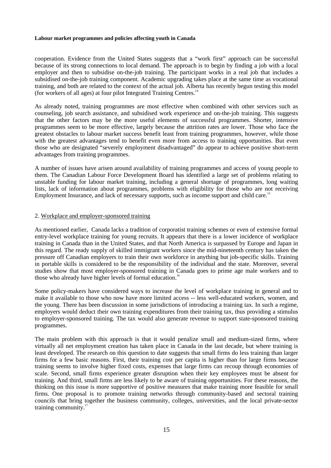cooperation. Evidence from the United States suggests that a "work first" approach can be successful because of its strong connections to local demand. The approach is to begin by finding a job with a local employer and then to subsidise on-the-job training. The participant works in a real job that includes a subsidised on-the-job training component. Academic upgrading takes place at the same time as vocational training, and both are related to the context of the actual job. Alberta has recently begun testing this model (for workers of all ages) at four pilot Integrated Training Centres.14

As already noted, training programmes are most effective when combined with other services such as counseling, job search assistance, and subsidised work experience and on-the-job training. This suggests that the other factors may be the more useful elements of successful programmes. Shorter, intensive programmes seem to be more effective, largely because the attrition rates are lower. Those who face the greatest obstacles to labour market success benefit least from training programmes, however, while those with the greatest advantages tend to benefit even more from access to training opportunities. But even those who are designated "severely employment disadvantaged" do appear to achieve positive short-term advantages from training programmes.

A number of issues have arisen around availability of training programmes and access of young people to them. The Canadian Labour Force Development Board has identified a large set of problems relating to unstable funding for labour market training, including a general shortage of programmes, long waiting lists, lack of information about programmes, problems with eligibility for those who are not receiving Employment Insurance, and lack of necessary supports, such as income support and child care.<sup>15</sup>

# 2. Workplace and employer-sponsored training

As mentioned earlier, Canada lacks a tradition of corporatist training schemes or even of extensive formal entry-level workplace training for young recruits. It appears that there is a lower incidence of workplace training in Canada than in the United States, and that North America is surpassed by Europe and Japan in this regard. The ready supply of skilled immigrant workers since the mid-nineteenth century has taken the pressure off Canadian employers to train their own workforce in anything but job-specific skills. Training in portable skills is considered to be the responsibility of the individual and the state. Moreover, several studies show that most employer-sponsored training in Canada goes to prime age male workers and to those who already have higher levels of formal education.<sup>16</sup>

Some policy-makers have considered ways to increase the level of workplace training in general and to make it available to those who now have more limited access -- less well-educated workers, women, and the young. There has been discussion in some jurisdictions of introducing a training tax. In such a regime, employers would deduct their own training expenditures from their training tax, thus providing a stimulus to employer-sponsored training. The tax would also generate revenue to support state-sponsored training programmes.

The main problem with this approach is that it would penalize small and medium-sized firms, where virtually all net employment creation has taken place in Canada in the last decade, but where training is least developed. The research on this question to date suggests that small firms do less training than larger firms for a few basic reasons. First, their training cost per capita is higher than for large firms because training seems to involve higher fixed costs, expenses that large firms can recoup through economies of scale. Second, small firms experience greater disruption when their key employees must be absent for training. And third, small firms are less likely to be aware of training opportunities. For these reasons, the thinking on this issue is more supportive of positive measures that make training more feasible for small firms. One proposal is to promote training networks through community-based and sectoral training councils that bring together the business community, colleges, universities, and the local private-sector training community. $\frac{1}{1}$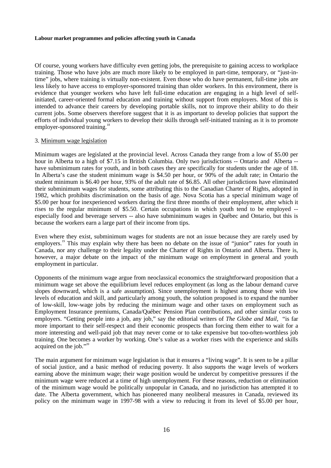Of course, young workers have difficulty even getting jobs, the prerequisite to gaining access to workplace training. Those who have jobs are much more likely to be employed in part-time, temporary, or "just-intime" jobs, where training is virtually non-existent. Even those who do have permanent, full-time jobs are less likely to have access to employer-sponsored training than older workers. In this environment, there is evidence that younger workers who have left full-time education are engaging in a high level of selfinitiated, career-oriented formal education and training without support from employers. Most of this is intended to advance their careers by developing portable skills, not to improve their ability to do their current jobs. Some observers therefore suggest that it is as important to develop policies that support the efforts of individual young workers to develop their skills through self-initiated training as it is to promote employer-sponsored training.<sup>18</sup>

#### 3. Minimum wage legislation

Minimum wages are legislated at the provincial level. Across Canada they range from a low of \$5.00 per hour in Alberta to a high of \$7.15 in British Columbia. Only two jurisdictions -- Ontario and Alberta - have subminimum rates for youth, and in both cases they are specifically for students under the age of 18. In Alberta's case the student minimum wage is \$4.50 per hour, or 90% of the adult rate; in Ontario the student minimum is \$6.40 per hour, 93% of the adult rate of \$6.85. All other jurisdictions have eliminated their subminimum wages for students, some attributing this to the Canadian Charter of Rights, adopted in 1982, which prohibits discrimination on the basis of age. Nova Scotia has a special minimum wage of \$5.00 per hour for inexperienced workers during the first three months of their employment, after which it rises to the regular minimum of \$5.50. Certain occupations in which youth tend to be employed - especially food and beverage servers -- also have subminimum wages in Québec and Ontario, but this is because the workers earn a large part of their income from tips.

Even where they exist, subminimum wages for students are not an issue because they are rarely used by employers.<sup>19</sup> This may explain why there has been no debate on the issue of "junior" rates for youth in Canada, nor any challenge to their legality under the Charter of Rights in Ontario and Alberta. There is, however, a major debate on the impact of the minimum wage on employment in general and youth employment in particular.

Opponents of the minimum wage argue from neoclassical economics the straightforward proposition that a minimum wage set above the equilibrium level reduces employment (as long as the labour demand curve slopes downward, which is a safe assumption). Since unemployment is highest among those with low levels of education and skill, and particularly among youth, the solution proposed is to expand the number of low-skill, low-wage jobs by reducing the minimum wage and other taxes on employment such as Employment Insurance premiums, Canada/Québec Pension Plan contributions, and other similar costs to employers. "Getting people into a job, any job," say the editorial writers of *The Globe and Mail,* "is far more important to their self-respect and their economic prospects than forcing them either to wait for a more interesting and well-paid job that may never come or to take expensive but too-often-worthless job training. One becomes a worker by working. One's value as a worker rises with the experience and skills acquired on the job."<sup>20</sup>

The main argument for minimum wage legislation is that it ensures a "living wage". It is seen to be a pillar of social justice, and a basic method of reducing poverty. It also supports the wage levels of workers earning above the minimum wage; their wage position would be undercut by competitive pressures if the minimum wage were reduced at a time of high unemployment. For these reasons, reduction or elimination of the minimum wage would be politically unpopular in Canada, and no jurisdiction has attempted it to date. The Alberta government, which has pioneered many neoliberal measures in Canada, reviewed its policy on the minimum wage in 1997-98 with a view to reducing it from its level of \$5.00 per hour,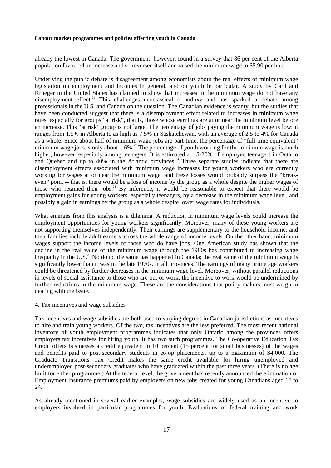already the lowest in Canada. The government, however, found in a survey that 86 per cent of the Alberta population favoured an increase and so reversed itself and raised the minimum wage to \$5.90 per hour.

Underlying the public debate is disagreement among economists about the real effects of minimum wage legislation on employment and incomes in general, and on youth in particular. A study by Card and Krueger in the United States has claimed to show that increases in the minimum wage do not have any disemployment effect.<sup>21</sup> This challenges neoclassical orthodoxy and has sparked a debate among professionals in the U.S. and Canada on the question. The Canadian evidence is scanty, but the studies that have been conducted suggest that there is a disemployment effect related to increases in minimum wage rates, especially for groups "at risk", that is, those whose earnings are at or near the minimum level before an increase. This "at risk" group is not large. The percentage of jobs paying the minimum wage is low: it ranges from 1.5% in Alberta to as high as 7.5% in Saskatchewan, with an average of 2.5 to 4% for Canada as a whole. Since about half of minimum wage jobs are part-time, the percentage of "full-time equivalent" minimum wage jobs is only about 1.6%.<sup>22</sup> The percentage of youth working for the minimum wage is much higher, however, especially among teenagers. It is estimated at 15-20% of employed teenagers in Ontario and Quebec and up to 40% in the Atlantic provinces.<sup>23</sup> Three separate studies indicate that there are disemployment effects associated with minimum wage increases for young workers who are currently working for wages at or near the minimum wage, and these losses would probably surpass the "breakeven" point -- that is, there would be a loss of income by the group as a whole despite the higher wages of those who retained their jobs. $^{24}$  By inference, it would be reasonable to expect that there would be employment gains for young workers, especially teenagers, by a decrease in the minimum wage level, and possibly a gain in earnings by the group as a whole despite lower wage rates for individuals.

What emerges from this analysis is a dilemma. A reduction in minimum wage levels could increase the employment opportunities for young workers significantly. Moreover, many of these young workers are not supporting themselves independently. Their earnings are supplementary to the household income, and their families include adult earners across the whole range of income levels. On the other hand, minimum wages support the income levels of those who do have jobs. One American study has shown that the decline in the real value of the minimum wage through the 1980s has contributed to increasing wage inequality in the U.S.<sup>25</sup> No doubt the same has happened in Canada; the real value of the minimum wage is significantly lower than it was in the late 1970s, in all provinces. The earnings of many prime age workers could be threatened by further decreases in the minimum wage level. Moreover, without parallel reductions in levels of social assistance to those who are out of work, the incentive to work would be undermined by further reductions in the minimum wage. These are the considerations that policy makers must weigh in dealing with the issue.

## 4. Tax incentives and wage subsidies

Tax incentives and wage subsidies are both used to varying degrees in Canadian jurisdictions as incentives to hire and train young workers. Of the two, tax incentives are the less preferred. The most recent national inventory of youth employment programmes indicates that only Ontario among the provinces offers employers tax incentives for hiring youth. It has two such programmes. The Co-operative Education Tax Credit offers businesses a credit equivalent to 10 percent (15 percent for small businesses) of the wages and benefits paid to post-secondary students in co-op placements, up to a maximum of \$4,000. The Graduate Transitions Tax Credit makes the same credit available for hiring unemployed and underemployed post-secondary graduates who have graduated within the past three years. (There is no age limit for either programme.) At the federal level, the government has recently announced the elimination of Employment Insurance premiums paid by employers on new jobs created for young Canadians aged 18 to 24.

As already mentioned in several earlier examples, wage subsidies are widely used as an incentive to employers involved in particular programmes for youth. Evaluations of federal training and work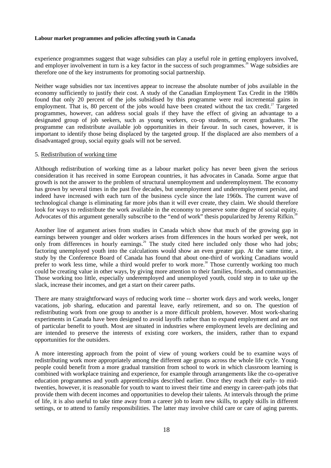experience programmes suggest that wage subsidies can play a useful role in getting employers involved, and employer involvement in turn is a key factor in the success of such programmes.<sup>26</sup> Wage subsidies are therefore one of the key instruments for promoting social partnership.

Neither wage subsidies nor tax incentives appear to increase the absolute number of jobs available in the economy sufficiently to justify their cost. A study of the Canadian Employment Tax Credit in the 1980s found that only 20 percent of the jobs subsidised by this programme were real incremental gains in employment. That is, 80 percent of the jobs would have been created without the tax credit.<sup>27</sup> Targeted programmes, however, can address social goals if they have the effect of giving an advantage to a designated group of job seekers, such as young workers, co-op students, or recent graduates. The programme can redistribute available job opportunities in their favour. In such cases, however, it is important to identify those being displaced by the targeted group. If the displaced are also members of a disadvantaged group, social equity goals will not be served.

## 5. Redistribution of working time

Although redistribution of working time as a labour market policy has never been given the serious consideration it has received in some European countries, it has advocates in Canada. Some argue that growth is not the answer to the problem of structural unemployment and underemployment. The economy has grown by several times in the past five decades, but unemployment and underemployment persist, and indeed have increased with each turn of the business cycle since the late 1960s. The current wave of technological change is eliminating far more jobs than it will ever create, they claim. We should therefore look for ways to redistribute the work available in the economy to preserve some degree of social equity. Advocates of this argument generally subscribe to the "end of work" thesis popularized by Jeremy Rifkin.<sup>2</sup>

Another line of argument arises from studies in Canada which show that much of the growing gap in earnings between younger and older workers arises from differences in the hours worked per week, not only from differences in hourly earnings.<sup>29</sup> The study cited here included only those who had jobs; factoring unemployed youth into the calculations would show an even greater gap. At the same time, a study by the Conference Board of Canada has found that about one-third of working Canadians would prefer to work less time, while a third would prefer to work more.<sup>30</sup> Those currently working too much could be creating value in other ways, by giving more attention to their families, friends, and communities. Those working too little, especially underemployed and unemployed youth, could step in to take up the slack, increase their incomes, and get a start on their career paths.

There are many straightforward ways of reducing work time -- shorter work days and work weeks, longer vacations, job sharing, education and parental leave, early retirement, and so on. The question of redistributing work from one group to another is a more difficult problem, however. Most work-sharing experiments in Canada have been designed to avoid layoffs rather than to expand employment and are not of particular benefit to youth. Most are situated in industries where employment levels are declining and are intended to preserve the interests of existing core workers, the insiders, rather than to expand opportunities for the outsiders.

A more interesting approach from the point of view of young workers could be to examine ways of redistributing work more appropriately among the different age groups across the whole life cycle. Young people could benefit from a more gradual transition from school to work in which classroom learning is combined with workplace training and experience, for example through arrangements like the co-operative education programmes and youth apprenticeships described earlier. Once they reach their early- to midtwenties, however, it is reasonable for youth to want to invest their time and energy in career-path jobs that provide them with decent incomes and opportunities to develop their talents. At intervals through the prime of life, it is also useful to take time away from a career job to learn new skills, to apply skills in different settings, or to attend to family responsibilities. The latter may involve child care or care of aging parents.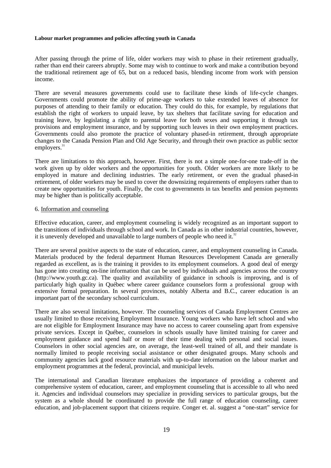After passing through the prime of life, older workers may wish to phase in their retirement gradually, rather than end their careers abruptly. Some may wish to continue to work and make a contribution beyond the traditional retirement age of 65, but on a reduced basis, blending income from work with pension income.

There are several measures governments could use to facilitate these kinds of life-cycle changes. Governments could promote the ability of prime-age workers to take extended leaves of absence for purposes of attending to their family or education. They could do this, for example, by regulations that establish the right of workers to unpaid leave, by tax shelters that facilitate saving for education and training leave, by legislating a right to parental leave for both sexes and supporting it through tax provisions and employment insurance, and by supporting such leaves in their own employment practices. Governments could also promote the practice of voluntary phased-in retirement, through appropriate changes to the Canada Pension Plan and Old Age Security, and through their own practice as public sector employers. $31$ 

There are limitations to this approach, however. First, there is not a simple one-for-one trade-off in the work given up by older workers and the opportunities for youth. Older workers are more likely to be employed in mature and declining industries. The early retirement, or even the gradual phased-in retirement, of older workers may be used to cover the downsizing requirements of employers rather than to create new opportunities for youth. Finally, the cost to governments in tax benefits and pension payments may be higher than is politically acceptable.

# 6. Information and counseling

Effective education, career, and employment counseling is widely recognized as an important support to the transitions of individuals through school and work. In Canada as in other industrial countries, however, it is unevenly developed and unavailable to large numbers of people who need it. $32$ 

There are several positive aspects to the state of education, career, and employment counseling in Canada. Materials produced by the federal department Human Resources Development Canada are generally regarded as excellent, as is the training it provides to its employment counselors. A good deal of energy has gone into creating on-line information that can be used by individuals and agencies across the country (http://www.youth.gc.ca). The quality and availability of guidance in schools is improving, and is of particularly high quality in Québec where career guidance counselors form a professional group with extensive formal preparation. In several provinces, notably Alberta and B.C., career education is an important part of the secondary school curriculum.

There are also several limitations, however. The counseling services of Canada Employment Centres are usually limited to those receiving Employment Insurance. Young workers who have left school and who are not eligible for Employment Insurance may have no access to career counseling apart from expensive private services. Except in Québec, counselors in schools usually have limited training for career and employment guidance and spend half or more of their time dealing with personal and social issues. Counselors in other social agencies are, on average, the least-well trained of all, and their mandate is normally limited to people receiving social assistance or other designated groups. Many schools and community agencies lack good resource materials with up-to-date information on the labour market and employment programmes at the federal, provincial, and municipal levels.

The international and Canadian literature emphasizes the importance of providing a coherent and comprehensive system of education, career, and employment counseling that is accessible to all who need it. Agencies and individual counselors may specialize in providing services to particular groups, but the system as a whole should be coordinated to provide the full range of education counseling, career education, and job-placement support that citizens require. Conger et. al. suggest a "one-start" service for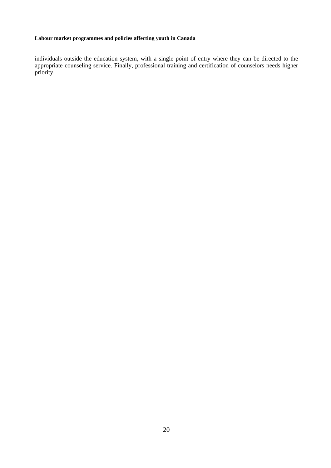individuals outside the education system, with a single point of entry where they can be directed to the appropriate counseling service. Finally, professional training and certification of counselors needs higher priority.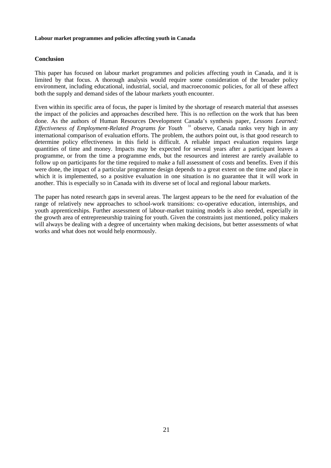# **Conclusion**

This paper has focused on labour market programmes and policies affecting youth in Canada, and it is limited by that focus. A thorough analysis would require some consideration of the broader policy environment, including educational, industrial, social, and macroeconomic policies, for all of these affect both the supply and demand sides of the labour markets youth encounter.

Even within its specific area of focus, the paper is limited by the shortage of research material that assesses the impact of the policies and approaches described here. This is no reflection on the work that has been done. As the authors of Human Resources Development Canada's synthesis paper, *Lessons Learned: Effectiveness of Employment-Related Programs for Youth* <sup>33</sup> observe, Canada ranks very high in any international comparison of evaluation efforts. The problem, the authors point out, is that good research to determine policy effectiveness in this field is difficult. A reliable impact evaluation requires large quantities of time and money. Impacts may be expected for several years after a participant leaves a programme, or from the time a programme ends, but the resources and interest are rarely available to follow up on participants for the time required to make a full assessment of costs and benefits. Even if this were done, the impact of a particular programme design depends to a great extent on the time and place in which it is implemented, so a positive evaluation in one situation is no guarantee that it will work in another. This is especially so in Canada with its diverse set of local and regional labour markets.

The paper has noted research gaps in several areas. The largest appears to be the need for evaluation of the range of relatively new approaches to school-work transitions: co-operative education, internships, and youth apprenticeships. Further assessment of labour-market training models is also needed, especially in the growth area of entrepreneurship training for youth. Given the constraints just mentioned, policy makers will always be dealing with a degree of uncertainty when making decisions, but better assessments of what works and what does not would help enormously.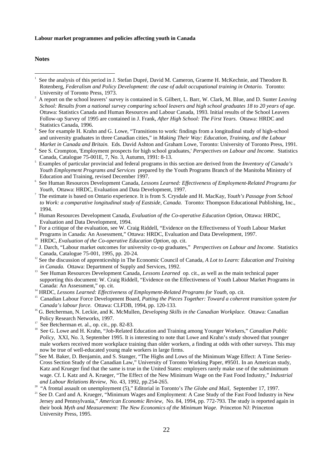## **Notes**

- 2 A report on the school leavers' survey is contained in S. Gilbert, L. Barr, W. Clark, M. Blue, and D. Sunter *Leaving School: Results from a national survey comparing school leavers and high school graduates 18 to 20 years of age.* Ottawa: Statistics Canada and Human Resources and Labour Canada, 1993. Initial results of the School Leavers Follow-up Survey of 1995 are contained in J. Frank, *After High School: The First Years.* Ottawa: HRDC and Statistics Canada, 1996.
- 3 See for example H. Krahn and G. Lowe, "Transitions to work: findings from a longitudinal study of high-school and university graduates in three Canadian cities," in *Making Their Way: Education, Training, and the Labour Market in Canada and Britain.* Eds. David Ashton and Graham Lowe, Toronto: University of Toronto Press, 1991.
- 4 See S. Crompton, 'Employment prospects for high school graduates,' *Perspectives on Labour and Income.* Statistics Canada, Catalogue 75-001E, 7, No. 3, Autumn, 1991: 8-13.
- 5 Examples of particular provincial and federal programs in this section are derived from the *Inventory of Canada's Youth Employment Programs and Services* prepared by the Youth Programs Branch of the Manitoba Ministry of Education and Training, revised December 1997.
- 6 See Human Resources Development Canada, *Lessons Learned: Effectiveness of Employment-Related Programs for Youth,* Ottawa: HRDC, Evaluation and Data Development, 1997.
- 7 The estimate is based on Ontario experience. It is from S. Crysdale and H. MacKay, *Youth's Passage from School to Work: a comparative longitudinal study of Eastside, Canada.* Toronto: Thompson Educational Publishing, Inc., 1994.
- 8 Human Resources Development Canada, *Evaluation of the Co-operative Education Option,* Ottawa: HRDC, Evaluation and Data Development, 1994.
- For a critique of the evaluation, see W. Craig Riddell, "Evidence on the Effectiveness of Youth Labour Market Programs in Canada: An Assessment," Ottawa: HRDC, Evaluation and Data Development, 1997.
- <sup>10</sup> HRDC, *Evaluation of the Co-operative Education Option*, op. cit.
- <sup>11</sup> J. Darch, "Labour market outcomes for university co-op graduates," *Perspectives on Labour and Income*. Statistics Canada, Catalogue 75-001, 1995, pp. 20-24.
- <sup>12</sup> See the discussion of apprenticeship in The Economic Council of Canada, *A Lot to Learn: Education and Training in Canada.* Ottawa: Department of Supply and Services, 1992.
- 13 See Human Resources Development Canada, *Lessons Learned* op. cit., as well as the main technical paper supporting this document: W. Craig Riddell, "Evidence on the Effectiveness of Youth Labour Market Programs in Canada: An Assessment," op. cit.
- <sup>14</sup> HRDC, *Lessons Learned: Effectiveness of Employment-Related Programs for Youth*, op. cit.
- <sup>15</sup> Canadian Labour Force Development Board, *Putting the Pieces Together: Toward a coherent transition system for Canada's labour force.* Ottawa: CLFDB, 1994, pp. 120-133.
- <sup>16</sup> G. Betcherman, N. Leckie, and K. McMullen, *Developing Skills in the Canadian Workplace*. Ottawa: Canadian Policy Research Networks, 1997.<br><sup>17</sup> See Betcherman et. al., op. cit., pp. 82-83.
- 
- <sup>18</sup> See G. Lowe and H. Krahn, "Job-Related Education and Training among Younger Workers," *Canadian Public Policy,* XXI, No. 3, September 1995. It is interesting to note that Lowe and Krahn's study showed that younger male workers received more workplace training than older workers, a finding at odds with other surveys. This may now be true of well-educated young male workers in large firms.
- See M. Baker, D. Benjamin, and S. Stanger, "The Highs and Lows of the Minimum Wage Effect: A Time Series-Cross Section Study of the Canadian Law," University of Toronto Working Paper, #9501. In an American study, Katz and Krueger find that the same is true in the United States: employers rarely make use of the subminimum wage. Cf. L Katz and A. Krueger, "The Effect of the New Minimum Wage on the Fast Food Industry," *Industrial and Labour Relations Review*, No. 43, 1992, pp.254-265.

21 See D. Card and A. Krueger, "Minimum Wages and Employment: A Case Study of the Fast Food Industry in New Jersey and Pennsylvania," *American Economic Review,* No. 84, 1994, pp. 772-793. The study is reported again in their book *Myth and Measurement: The New Economics of the Minimum Wage.* Princeton NJ: Princeton University Press, 1995.

 $\frac{1}{1}$  See the analysis of this period in J. Stefan Dupré, David M. Cameron, Graeme H. McKechnie, and Theodore B. Rotenberg, *Federalism and Policy Development: the case of adult occupational training in Ontario.* Toronto: University of Toronto Press, 1973.

<sup>20</sup> "A frontal assault on unemployment (5)," Editorial in Toronto's *The Globe and Mail,* September 17, 1997.